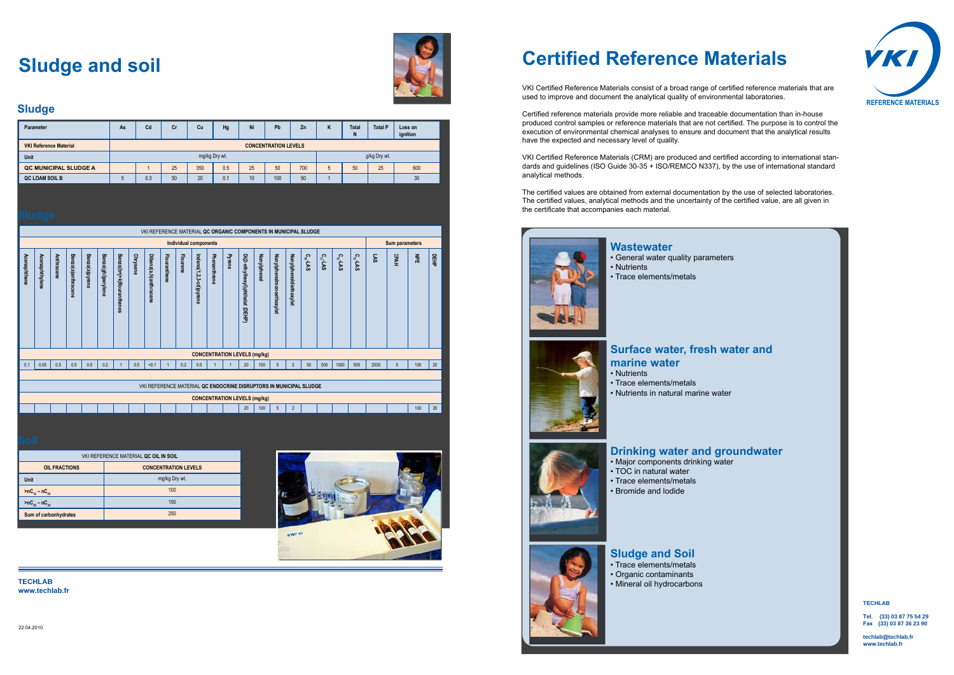### **TECHLAB**

**Tel. (33) 03 87 75 54 29 Fax (**

**techlab@techlab.fr www.techlab.fr**

# **Certified Reference Materials**

VKI Certified Reference Materials consist of a broad range of certified reference materials that are used to improve and document the analytical quality of environmental laboratories.

Certified reference materials provide more reliable and traceable documentation than in-house produced control samples or reference materials that are not certified. The purpose is to control the execution of environmental chemical analyses to ensure and document that the analytical results have the expected and necessary level of quality.

VKI Certified Reference Materials (CRM) are produced and certified according to international standards and guidelines (ISO Guide 30-35 + ISO/REMCO N337), by the use of international standard analytical methods.

The certified values are obtained from external documentation by the use of selected laboratories. The certified values, analytical methods and the uncertainty of the certified value, are all given in the certificate that accompanies each material.



## **Sludge and soil**



| <b>Parameter</b>              | As | C <sub>d</sub>              | Сr | Cu            | Hg  | Ni | Pb  | Zn  | $\mathbf{r}$<br>n | <b>Total</b><br>N | <b>Total P</b> | Loss on<br>ignition |  |  |
|-------------------------------|----|-----------------------------|----|---------------|-----|----|-----|-----|-------------------|-------------------|----------------|---------------------|--|--|
| <b>VKI Reference Material</b> |    | <b>CONCENTRATION LEVELS</b> |    |               |     |    |     |     |                   |                   |                |                     |  |  |
| <b>Unit</b>                   |    |                             |    | mg/kg Dry wt. |     |    |     |     |                   |                   | g/kg Dry wt.   |                     |  |  |
| <b>QC MUNICIPAL SLUDGE A</b>  |    |                             | 25 | 350           | 0.5 | 25 | 50  | 700 |                   | 50                | 25             | 600                 |  |  |
| QC LOAM SOIL B                |    | 0.3                         | 50 | 20            | 0.1 | 10 | 100 | 50  |                   |                   |                | 30                  |  |  |

| uuuyu        |                |            |                    |                |                    |                           |                 |                                                                    |              |                              |                        |              |        |                                 |                                     |                                 |                        |               |              |               |               |      |                       |     |         |
|--------------|----------------|------------|--------------------|----------------|--------------------|---------------------------|-----------------|--------------------------------------------------------------------|--------------|------------------------------|------------------------|--------------|--------|---------------------------------|-------------------------------------|---------------------------------|------------------------|---------------|--------------|---------------|---------------|------|-----------------------|-----|---------|
|              |                |            |                    |                |                    |                           |                 | VKI REFERENCE MATERIAL QC ORGANIC COMPONENTS IN MUNICIPAL SLUDGE   |              |                              |                        |              |        |                                 |                                     |                                 |                        |               |              |               |               |      |                       |     |         |
|              |                |            |                    |                |                    |                           |                 |                                                                    |              | <b>Individual components</b> |                        |              |        |                                 |                                     |                                 |                        |               |              |               |               |      | <b>Sum parameters</b> |     |         |
| Acenaphthene | Acenaphthylene | Anthracene | Benzo(a)anthracene | Benzo(a)pyrene | Benzo(ghi)perylene | Benzo(b+j+k)flouranthenes | <b>Chrysene</b> | Dibenz(a,h)anthracene                                              | Flouranthene | <b>Flourene</b>              | Indeno(1,2,3-cd)pyrene | Phenanthrene | Pyrene | Di(2-ethylhexyl)phthalat (DEHP) | <b>Nonylphenol</b>                  | <b>Nonylphenolmonoethoxylat</b> | Nonylphenoldiethoxylat | $C_{10}$ -LAS | $c_{n}$ -LAS | $C_{12}$ -LAS | $C_{13}$ -LAS | LAS  | <b>ZPAH</b>           | 즱   | 묘<br>사료 |
|              |                |            |                    |                |                    |                           |                 |                                                                    |              |                              |                        |              |        |                                 | <b>CONCENTRATION LEVELS (mg/kg)</b> |                                 |                        |               |              |               |               |      |                       |     |         |
| 0.1          | 0.05           | 0.5        | 0.5                | 0.5            | 0.2                |                           | 0.5             | < 0.1                                                              |              | 0.2                          | 0.5                    |              |        | 20                              | 100                                 | 5                               | $\overline{2}$         | 50            | 500          | 1000          | 500           | 2000 | 5                     | 100 | 20      |
|              |                |            |                    |                |                    |                           |                 |                                                                    |              |                              |                        |              |        |                                 |                                     |                                 |                        |               |              |               |               |      |                       |     |         |
|              |                |            |                    |                |                    |                           |                 | VKI REFERENCE MATERIAL QC ENDOCRINE DISRUPTORS IN MUNICIPAL SLUDGE |              |                              |                        |              |        |                                 |                                     |                                 |                        |               |              |               |               |      |                       |     |         |
|              |                |            |                    |                |                    |                           |                 |                                                                    |              |                              |                        |              |        |                                 | <b>CONCENTRATION LEVELS (mg/kg)</b> |                                 |                        |               |              |               |               |      |                       |     |         |
|              |                |            |                    |                |                    |                           |                 |                                                                    |              |                              |                        |              |        | 20                              | 100                                 | 5                               | $\overline{2}$         |               |              |               |               |      |                       | 100 | 20      |

| VKI REFERENCE MATERIAL QC OIL IN SOIL |                       |
|---------------------------------------|-----------------------|
|                                       | <b>OIL FRACTIONS</b>  |
|                                       | <b>Unit</b>           |
|                                       | $>nC_{10} - nC_{25}$  |
|                                       | $>nC_{25} - nC_{35}$  |
|                                       | Sum of carbonhydrates |
|                                       |                       |





### **Wastewater**

- General water quality parameters • Nutrients
- Trace elements/metals



### **Surface water, fresh water and marine water**

- Nutrients
- Trace elements/metals
- Nutrients in natural marine water

## **Drinking water and groundwater**

- Major components drinking water
- TOC in natural water
- Trace elements/metals
- Bromide and lodide



## **Sludge and Soil**

- Trace elements/metals
- Organic contaminants
- Mineral oil hydrocarbons

### **Sludge**

**TECHLAB www.techlab.fr**